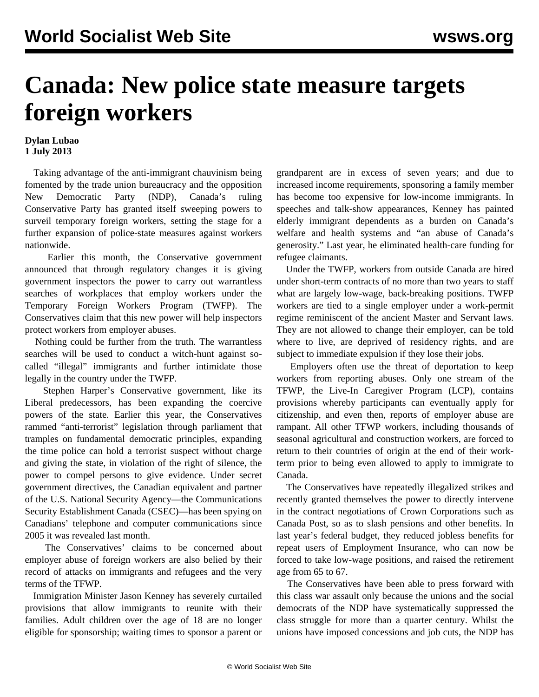## **Canada: New police state measure targets foreign workers**

## **Dylan Lubao 1 July 2013**

 Taking advantage of the anti-immigrant chauvinism being fomented by the trade union bureaucracy and the opposition New Democratic Party (NDP), Canada's ruling Conservative Party has granted itself sweeping powers to surveil temporary foreign workers, setting the stage for a further expansion of police-state measures against workers nationwide.

 Earlier this month, the Conservative government announced that through regulatory changes it is giving government inspectors the power to carry out warrantless searches of workplaces that employ workers under the Temporary Foreign Workers Program (TWFP). The Conservatives claim that this new power will help inspectors protect workers from employer abuses.

 Nothing could be further from the truth. The warrantless searches will be used to conduct a witch-hunt against socalled "illegal" immigrants and further intimidate those legally in the country under the TWFP.

 Stephen Harper's Conservative government, like its Liberal predecessors, has been expanding the coercive powers of the state. Earlier this year, the Conservatives rammed "anti-terrorist" legislation through parliament that tramples on fundamental democratic principles, expanding the time police can hold a terrorist suspect without charge and giving the state, in violation of the right of silence, the power to compel persons to give evidence. Under secret government directives, the Canadian equivalent and partner of the U.S. National Security Agency—the Communications Security Establishment Canada (CSEC)—has been spying on Canadians' telephone and computer communications since 2005 it was revealed last month.

 The Conservatives' claims to be concerned about employer abuse of foreign workers are also belied by their record of attacks on immigrants and refugees and the very terms of the TFWP.

 Immigration Minister Jason Kenney has severely curtailed provisions that allow immigrants to reunite with their families. Adult children over the age of 18 are no longer eligible for sponsorship; waiting times to sponsor a parent or grandparent are in excess of seven years; and due to increased income requirements, sponsoring a family member has become too expensive for low-income immigrants. In speeches and talk-show appearances, Kenney has painted elderly immigrant dependents as a burden on Canada's welfare and health systems and "an abuse of Canada's generosity." Last year, he eliminated health-care funding for refugee claimants.

 Under the TWFP, workers from outside Canada are hired under short-term contracts of no more than two years to staff what are largely low-wage, back-breaking positions. TWFP workers are tied to a single employer under a work-permit regime reminiscent of the ancient Master and Servant laws. They are not allowed to change their employer, can be told where to live, are deprived of residency rights, and are subject to immediate expulsion if they lose their jobs.

 Employers often use the threat of deportation to keep workers from reporting abuses. Only one stream of the TFWP, the Live-In Caregiver Program (LCP), contains provisions whereby participants can eventually apply for citizenship, and even then, reports of employer abuse are rampant. All other TFWP workers, including thousands of seasonal agricultural and construction workers, are forced to return to their countries of origin at the end of their workterm prior to being even allowed to apply to immigrate to Canada.

 The Conservatives have repeatedly illegalized strikes and recently granted themselves the power to directly intervene in the contract negotiations of Crown Corporations such as Canada Post, so as to slash pensions and other benefits. In last year's federal budget, they reduced jobless benefits for repeat users of Employment Insurance, who can now be forced to take low-wage positions, and raised the retirement age from 65 to 67.

 The Conservatives have been able to press forward with this class war assault only because the unions and the social democrats of the NDP have systematically suppressed the class struggle for more than a quarter century. Whilst the unions have imposed concessions and job cuts, the NDP has